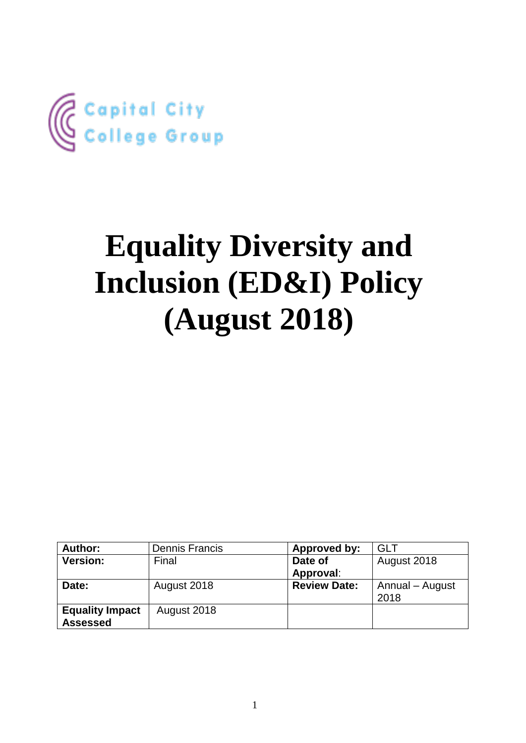

# **Equality Diversity and Inclusion (ED&I) Policy (August 2018)**

| Author:                | <b>Dennis Francis</b> | Approved by:        | <b>GLT</b>      |
|------------------------|-----------------------|---------------------|-----------------|
| <b>Version:</b>        | Final                 | Date of             | August 2018     |
|                        |                       | Approval:           |                 |
| Date:                  | August 2018           | <b>Review Date:</b> | Annual - August |
|                        |                       |                     | 2018            |
| <b>Equality Impact</b> | August 2018           |                     |                 |
| <b>Assessed</b>        |                       |                     |                 |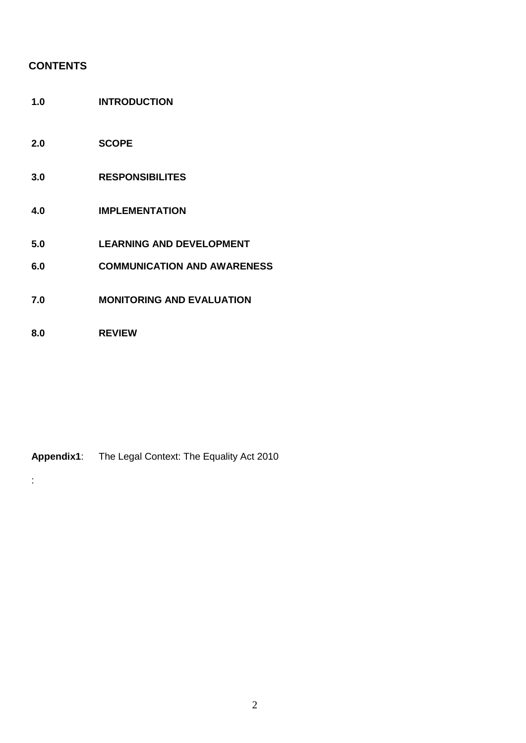# **CONTENTS**

- **1.0 INTRODUCTION**
- **2.0 SCOPE**
- **3.0 RESPONSIBILITES**
- **4.0 IMPLEMENTATION**
- **5.0 LEARNING AND DEVELOPMENT**
- **6.0 COMMUNICATION AND AWARENESS**
- **7.0 MONITORING AND EVALUATION**
- **8.0 REVIEW**

:

# **Appendix1**: The Legal Context: The Equality Act 2010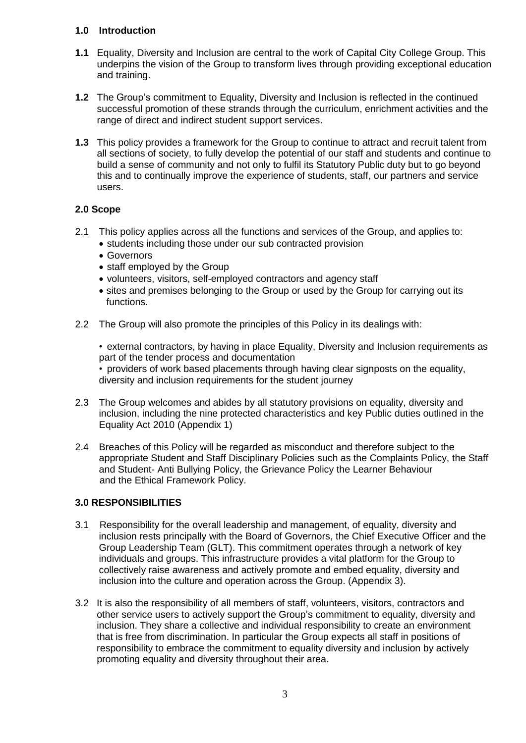# **1.0 Introduction**

- **1.1** Equality, Diversity and Inclusion are central to the work of Capital City College Group. This underpins the vision of the Group to transform lives through providing exceptional education and training.
- **1.2** The Group's commitment to Equality, Diversity and Inclusion is reflected in the continued successful promotion of these strands through the curriculum, enrichment activities and the range of direct and indirect student support services.
- **1.3** This policy provides a framework for the Group to continue to attract and recruit talent from all sections of society, to fully develop the potential of our staff and students and continue to build a sense of community and not only to fulfil its Statutory Public duty but to go beyond this and to continually improve the experience of students, staff, our partners and service users.

# **2.0 Scope**

- 2.1 This policy applies across all the functions and services of the Group, and applies to:
	- students including those under our sub contracted provision
	- Governors
	- staff employed by the Group
	- volunteers, visitors, self-employed contractors and agency staff
	- sites and premises belonging to the Group or used by the Group for carrying out its functions.
- 2.2 The Group will also promote the principles of this Policy in its dealings with:

• external contractors, by having in place Equality, Diversity and Inclusion requirements as part of the tender process and documentation

• providers of work based placements through having clear signposts on the equality, diversity and inclusion requirements for the student journey

- 2.3 The Group welcomes and abides by all statutory provisions on equality, diversity and inclusion, including the nine protected characteristics and key Public duties outlined in the Equality Act 2010 (Appendix 1)
- 2.4 Breaches of this Policy will be regarded as misconduct and therefore subject to the appropriate Student and Staff Disciplinary Policies such as the Complaints Policy, the Staff and Student- Anti Bullying Policy, the Grievance Policy the Learner Behaviour and the Ethical Framework Policy.

# **3.0 RESPONSIBILITIES**

- 3.1 Responsibility for the overall leadership and management, of equality, diversity and inclusion rests principally with the Board of Governors, the Chief Executive Officer and the Group Leadership Team (GLT). This commitment operates through a network of key individuals and groups. This infrastructure provides a vital platform for the Group to collectively raise awareness and actively promote and embed equality, diversity and inclusion into the culture and operation across the Group. (Appendix 3).
- 3.2 It is also the responsibility of all members of staff, volunteers, visitors, contractors and other service users to actively support the Group's commitment to equality, diversity and inclusion. They share a collective and individual responsibility to create an environment that is free from discrimination. In particular the Group expects all staff in positions of responsibility to embrace the commitment to equality diversity and inclusion by actively promoting equality and diversity throughout their area.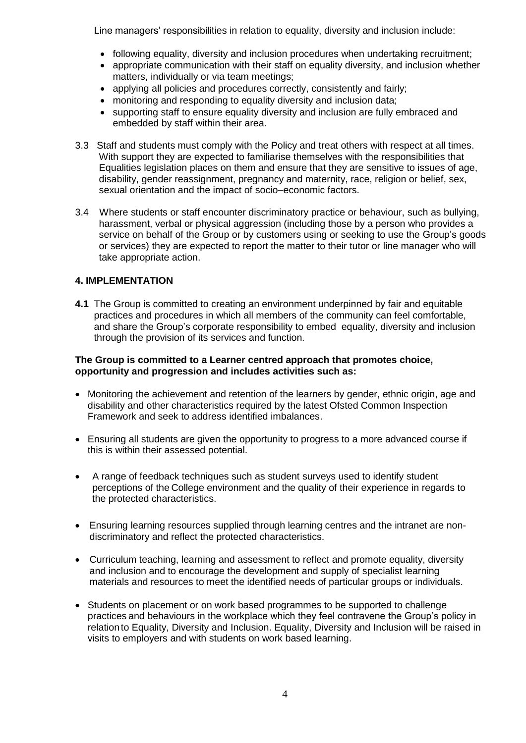Line managers' responsibilities in relation to equality, diversity and inclusion include:

- following equality, diversity and inclusion procedures when undertaking recruitment;
- appropriate communication with their staff on equality diversity, and inclusion whether matters, individually or via team meetings;
- applying all policies and procedures correctly, consistently and fairly;
- monitoring and responding to equality diversity and inclusion data;
- supporting staff to ensure equality diversity and inclusion are fully embraced and embedded by staff within their area.
- 3.3 Staff and students must comply with the Policy and treat others with respect at all times. With support they are expected to familiarise themselves with the responsibilities that Equalities legislation places on them and ensure that they are sensitive to issues of age, disability, gender reassignment, pregnancy and maternity, race, religion or belief, sex, sexual orientation and the impact of socio–economic factors.
- 3.4 Where students or staff encounter discriminatory practice or behaviour, such as bullying, harassment, verbal or physical aggression (including those by a person who provides a service on behalf of the Group or by customers using or seeking to use the Group's goods or services) they are expected to report the matter to their tutor or line manager who will take appropriate action.

## **4. IMPLEMENTATION**

**4.1** The Group is committed to creating an environment underpinned by fair and equitable practices and procedures in which all members of the community can feel comfortable, and share the Group's corporate responsibility to embed equality, diversity and inclusion through the provision of its services and function.

#### **The Group is committed to a Learner centred approach that promotes choice, opportunity and progression and includes activities such as:**

- Monitoring the achievement and retention of the learners by gender, ethnic origin, age and disability and other characteristics required by the latest Ofsted Common Inspection Framework and seek to address identified imbalances.
- Ensuring all students are given the opportunity to progress to a more advanced course if this is within their assessed potential.
- A range of feedback techniques such as student surveys used to identify student perceptions of the College environment and the quality of their experience in regards to the protected characteristics.
- Ensuring learning resources supplied through learning centres and the intranet are non discriminatory and reflect the protected characteristics.
- Curriculum teaching, learning and assessment to reflect and promote equality, diversity and inclusion and to encourage the development and supply of specialist learning materials and resources to meet the identified needs of particular groups or individuals.
- Students on placement or on work based programmes to be supported to challenge practices and behaviours in the workplace which they feel contravene the Group's policy in relation to Equality, Diversity and Inclusion. Equality, Diversity and Inclusion will be raised in visits to employers and with students on work based learning.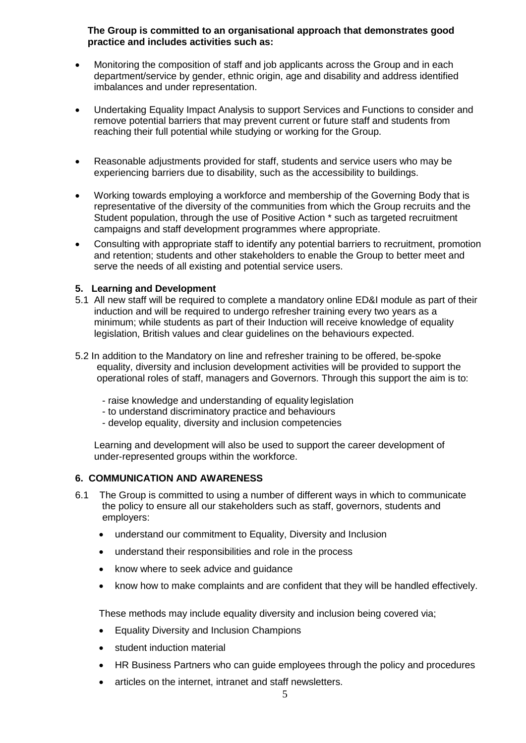# **The Group is committed to an organisational approach that demonstrates good practice and includes activities such as:**

- Monitoring the composition of staff and job applicants across the Group and in each department/service by gender, ethnic origin, age and disability and address identified imbalances and under representation.
- Undertaking Equality Impact Analysis to support Services and Functions to consider and remove potential barriers that may prevent current or future staff and students from reaching their full potential while studying or working for the Group.
- Reasonable adjustments provided for staff, students and service users who may be experiencing barriers due to disability, such as the accessibility to buildings.
- Working towards employing a workforce and membership of the Governing Body that is representative of the diversity of the communities from which the Group recruits and the Student population, through the use of Positive Action \* such as targeted recruitment campaigns and staff development programmes where appropriate.
- Consulting with appropriate staff to identify any potential barriers to recruitment, promotion and retention; students and other stakeholders to enable the Group to better meet and serve the needs of all existing and potential service users.

## **5. Learning and Development**

- 5.1 All new staff will be required to complete a mandatory online ED&I module as part of their induction and will be required to undergo refresher training every two years as a minimum; while students as part of their Induction will receive knowledge of equality legislation, British values and clear guidelines on the behaviours expected.
- 5.2 In addition to the Mandatory on line and refresher training to be offered, be-spoke equality, diversity and inclusion development activities will be provided to support the operational roles of staff, managers and Governors. Through this support the aim is to:
	- raise knowledge and understanding of equality legislation
	- to understand discriminatory practice and behaviours
	- develop equality, diversity and inclusion competencies

 Learning and development will also be used to support the career development of under-represented groups within the workforce.

## **6. COMMUNICATION AND AWARENESS**

- 6.1 The Group is committed to using a number of different ways in which to communicate the policy to ensure all our stakeholders such as staff, governors, students and employers:
	- understand our commitment to Equality, Diversity and Inclusion
	- understand their responsibilities and role in the process
	- know where to seek advice and guidance
	- know how to make complaints and are confident that they will be handled effectively.

These methods may include equality diversity and inclusion being covered via;

- Equality Diversity and Inclusion Champions
- student induction material
- HR Business Partners who can guide employees through the policy and procedures
- articles on the internet, intranet and staff newsletters.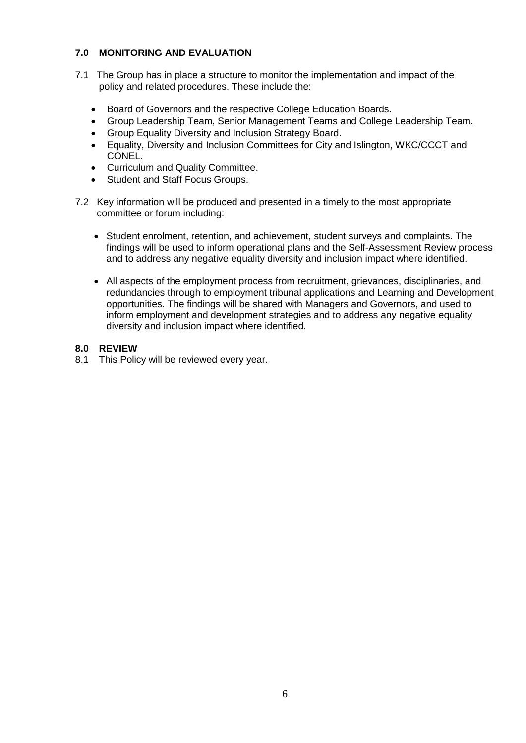# **7.0 MONITORING AND EVALUATION**

- 7.1 The Group has in place a structure to monitor the implementation and impact of the policy and related procedures. These include the:
	- Board of Governors and the respective College Education Boards.
	- Group Leadership Team, Senior Management Teams and College Leadership Team.
	- Group Equality Diversity and Inclusion Strategy Board.
	- Equality, Diversity and Inclusion Committees for City and Islington, WKC/CCCT and CONEL.
	- Curriculum and Quality Committee.
	- Student and Staff Focus Groups.
- 7.2 Key information will be produced and presented in a timely to the most appropriate committee or forum including:
	- Student enrolment, retention, and achievement, student surveys and complaints. The findings will be used to inform operational plans and the Self-Assessment Review process and to address any negative equality diversity and inclusion impact where identified.
	- All aspects of the employment process from recruitment, grievances, disciplinaries, and redundancies through to employment tribunal applications and Learning and Development opportunities. The findings will be shared with Managers and Governors, and used to inform employment and development strategies and to address any negative equality diversity and inclusion impact where identified.

# **8.0 REVIEW**

8.1 This Policy will be reviewed every year.